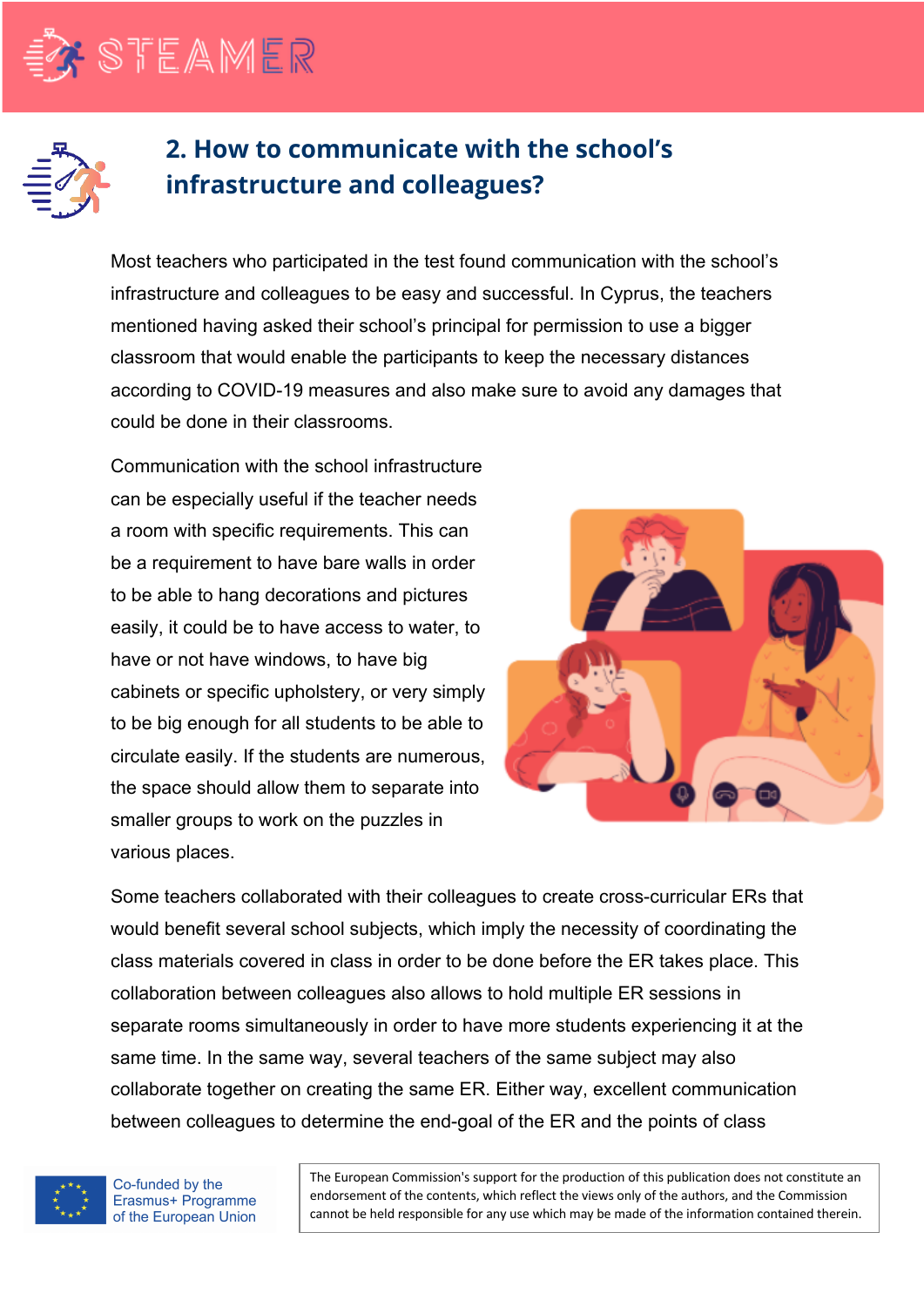



## **2. How to communicate with the school's infrastructure and colleagues?**

Most teachers who participated in the test found communication with the school's infrastructure and colleagues to be easy and successful. In Cyprus, the teachers mentioned having asked their school's principal for permission to use a bigger classroom that would enable the participants to keep the necessary distances according to COVID-19 measures and also make sure to avoid any damages that could be done in their classrooms.

Communication with the school infrastructure can be especially useful if the teacher needs a room with specific requirements. This can be a requirement to have bare walls in order to be able to hang decorations and pictures easily, it could be to have access to water, to have or not have windows, to have big cabinets or specific upholstery, or very simply to be big enough for all students to be able to circulate easily. If the students are numerous, the space should allow them to separate into smaller groups to work on the puzzles in various places.



Some teachers collaborated with their colleagues to create cross-curricular ERs that would benefit several school subjects, which imply the necessity of coordinating the class materials covered in class in order to be done before the ER takes place. This collaboration between colleagues also allows to hold multiple ER sessions in separate rooms simultaneously in order to have more students experiencing it at the same time. In the same way, several teachers of the same subject may also collaborate together on creating the same ER. Either way, excellent communication between colleagues to determine the end-goal of the ER and the points of class



Co-funded by the Erasmus+ Programme of the European Union

The European Commission's support for the production of this publication does not constitute an endorsement of the contents, which reflect the views only of the authors, and the Commission cannot be held responsible for any use which may be made of the information contained therein.